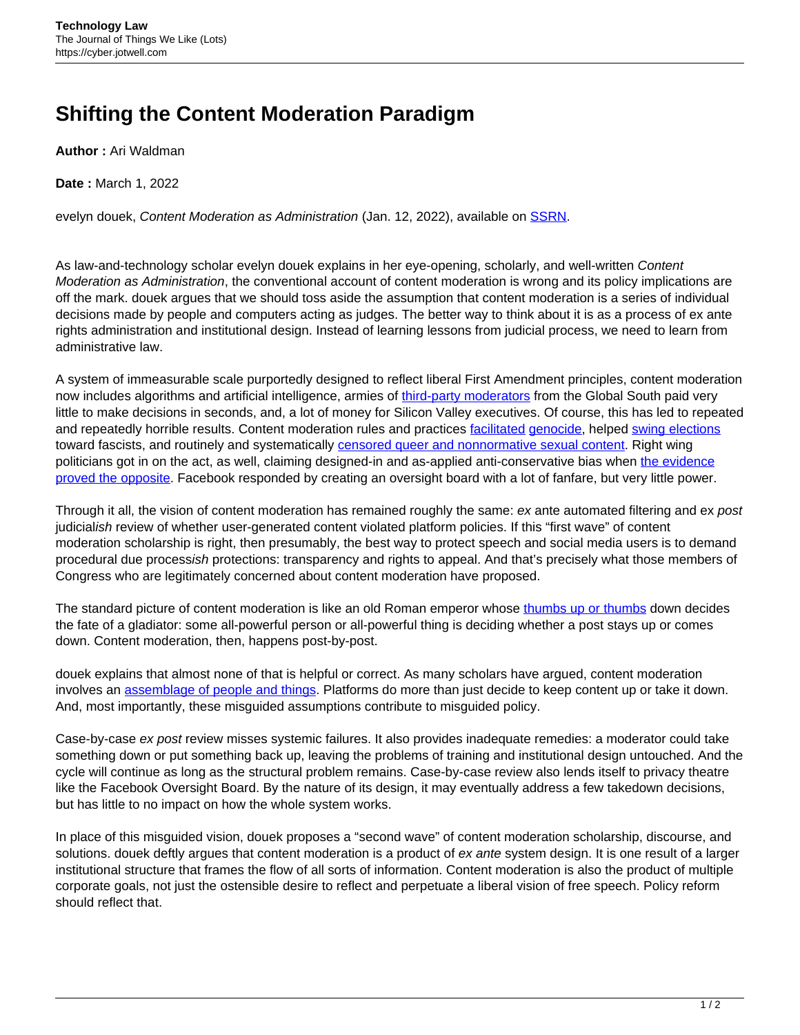## **Shifting the Content Moderation Paradigm**

**Author :** Ari Waldman

**Date :** March 1, 2022

evelyn douek, Content Moderation as Administration (Jan. 12, 2022), available on **SSRN**.

As law-and-technology scholar evelyn douek explains in her eye-opening, scholarly, and well-written Content Moderation as Administration, the conventional account of content moderation is wrong and its policy implications are off the mark. douek argues that we should toss aside the assumption that content moderation is a series of individual decisions made by people and computers acting as judges. The better way to think about it is as a process of ex ante rights administration and institutional design. Instead of learning lessons from judicial process, we need to learn from administrative law.

A system of immeasurable scale purportedly designed to reflect liberal First Amendment principles, content moderation now includes algorithms and artificial intelligence, armies of [third-party moderators](https://www.theatlantic.com/technology/archive/2017/03/commercial-content-moderation/518796/) from the Global South paid very little to make decisions in seconds, and, a lot of money for Silicon Valley executives. Of course, this has led to repeated and repeatedly horrible results. Content moderation rules and practices [facilitated](https://journals.sagepub.com/doi/abs/10.1177/0163443720987751) [genocide](https://www.nytimes.com/2018/10/15/technology/myanmar-facebook-genocide.html?action=click&module=Top%20Stories&pgtype=Homepage), helped [swing elections](https://www.washingtonpost.com/news/politics/wp/2018/03/22/all-the-ways-trumps-campaign-was-aided-by-facebook-ranked-by-importance/) toward fascists, and routinely and systematically [censored queer and nonnormative sexual content](https://papers.ssrn.com/sol3/papers.cfm?abstract_id=3906001). Right wing politicians got in on the act, as well, claiming designed-in and as-applied anti-conservative bias when [the evidence](https://www.theverge.com/2021/2/1/22260269/anti-conservative-bias-social-media-no-evidence-nyu-research) [proved the opposite](https://www.theverge.com/2021/2/1/22260269/anti-conservative-bias-social-media-no-evidence-nyu-research). Facebook responded by creating an oversight board with a lot of fanfare, but very little power.

Through it all, the vision of content moderation has remained roughly the same: ex ante automated filtering and ex post judicialish review of whether user-generated content violated platform policies. If this "first wave" of content moderation scholarship is right, then presumably, the best way to protect speech and social media users is to demand procedural due processish protections: transparency and rights to appeal. And that's precisely what those members of Congress who are legitimately concerned about content moderation have proposed.

The standard picture of content moderation is like an old Roman emperor whose [thumbs up or thumbs](https://www.gutenberg.org/files/50657/50657-h/50657-h.htm#Page_1) down decides the fate of a gladiator: some all-powerful person or all-powerful thing is deciding whether a post stays up or comes down. Content moderation, then, happens post-by-post.

douek explains that almost none of that is helpful or correct. As many scholars have argued, content moderation involves an [assemblage of people and things](https://journals.sagepub.com/doi/full/10.1177/1461444820912540). Platforms do more than just decide to keep content up or take it down. And, most importantly, these misguided assumptions contribute to misguided policy.

Case-by-case ex post review misses systemic failures. It also provides inadequate remedies: a moderator could take something down or put something back up, leaving the problems of training and institutional design untouched. And the cycle will continue as long as the structural problem remains. Case-by-case review also lends itself to privacy theatre like the Facebook Oversight Board. By the nature of its design, it may eventually address a few takedown decisions, but has little to no impact on how the whole system works.

In place of this misguided vision, douek proposes a "second wave" of content moderation scholarship, discourse, and solutions. douek deftly argues that content moderation is a product of ex ante system design. It is one result of a larger institutional structure that frames the flow of all sorts of information. Content moderation is also the product of multiple corporate goals, not just the ostensible desire to reflect and perpetuate a liberal vision of free speech. Policy reform should reflect that.